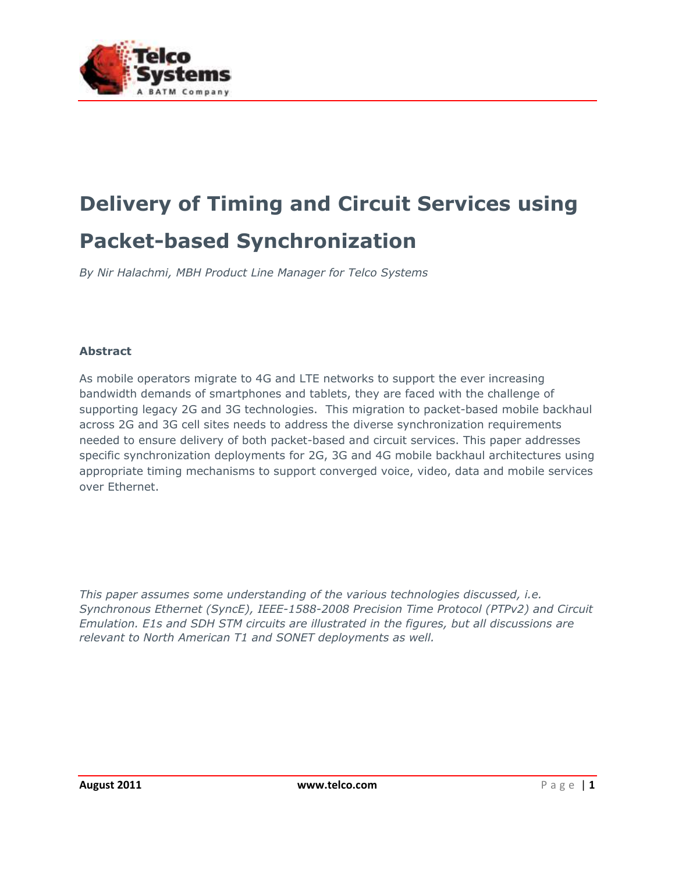

# **Delivery of Timing and Circuit Services using Packet-based Synchronization**

*By Nir Halachmi, MBH Product Line Manager for Telco Systems*

#### **Abstract**

As mobile operators migrate to 4G and LTE networks to support the ever increasing bandwidth demands of smartphones and tablets, they are faced with the challenge of supporting legacy 2G and 3G technologies. This migration to packet-based mobile backhaul across 2G and 3G cell sites needs to address the diverse synchronization requirements needed to ensure delivery of both packet-based and circuit services. This paper addresses specific synchronization deployments for 2G, 3G and 4G mobile backhaul architectures using appropriate timing mechanisms to support converged voice, video, data and mobile services over Ethernet.

*This paper assumes some understanding of the various technologies discussed, i.e. Synchronous Ethernet (SyncE), IEEE-1588-2008 Precision Time Protocol (PTPv2) and Circuit Emulation. E1s and SDH STM circuits are illustrated in the figures, but all discussions are relevant to North American T1 and SONET deployments as well.*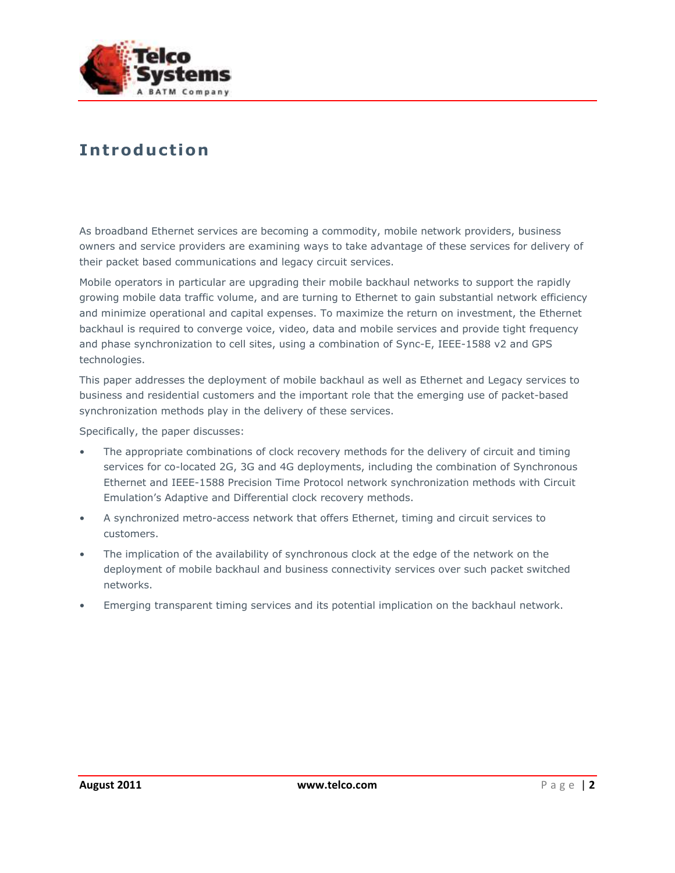

### **In trodu c t io n**

As broadband Ethernet services are becoming a commodity, mobile network providers, business owners and service providers are examining ways to take advantage of these services for delivery of their packet based communications and legacy circuit services.

Mobile operators in particular are upgrading their mobile backhaul networks to support the rapidly growing mobile data traffic volume, and are turning to Ethernet to gain substantial network efficiency and minimize operational and capital expenses. To maximize the return on investment, the Ethernet backhaul is required to converge voice, video, data and mobile services and provide tight frequency and phase synchronization to cell sites, using a combination of Sync-E, IEEE-1588 v2 and GPS technologies.

This paper addresses the deployment of mobile backhaul as well as Ethernet and Legacy services to business and residential customers and the important role that the emerging use of packet-based synchronization methods play in the delivery of these services.

Specifically, the paper discusses:

- The appropriate combinations of clock recovery methods for the delivery of circuit and timing services for co-located 2G, 3G and 4G deployments, including the combination of Synchronous Ethernet and IEEE-1588 Precision Time Protocol network synchronization methods with Circuit Emulation's Adaptive and Differential clock recovery methods.
- A synchronized metro-access network that offers Ethernet, timing and circuit services to customers.
- The implication of the availability of synchronous clock at the edge of the network on the deployment of mobile backhaul and business connectivity services over such packet switched networks.
- Emerging transparent timing services and its potential implication on the backhaul network.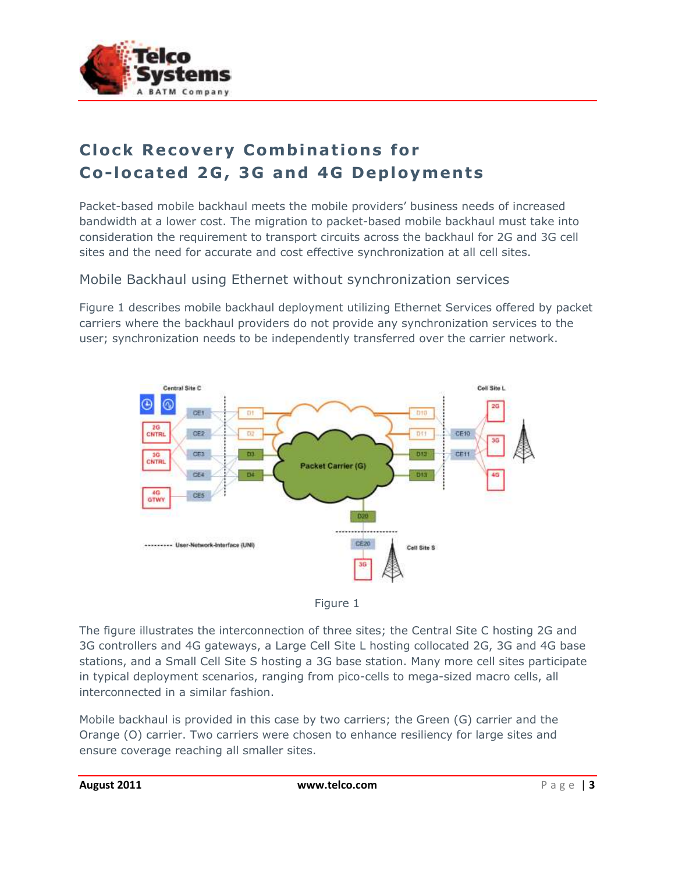

# **Clock Recovery Combinations for Co-located 2G, 3G and 4G Deployments**

Packet-based mobile backhaul meets the mobile providers' business needs of increased bandwidth at a lower cost. The migration to packet-based mobile backhaul must take into consideration the requirement to transport circuits across the backhaul for 2G and 3G cell sites and the need for accurate and cost effective synchronization at all cell sites.

#### Mobile Backhaul using Ethernet without synchronization services

Figure 1 describes mobile backhaul deployment utilizing Ethernet Services offered by packet carriers where the backhaul providers do not provide any synchronization services to the user; synchronization needs to be independently transferred over the carrier network.





The figure illustrates the interconnection of three sites; the Central Site C hosting 2G and 3G controllers and 4G gateways, a Large Cell Site L hosting collocated 2G, 3G and 4G base stations, and a Small Cell Site S hosting a 3G base station. Many more cell sites participate in typical deployment scenarios, ranging from pico-cells to mega-sized macro cells, all interconnected in a similar fashion.

Mobile backhaul is provided in this case by two carriers; the Green (G) carrier and the Orange (O) carrier. Two carriers were chosen to enhance resiliency for large sites and ensure coverage reaching all smaller sites.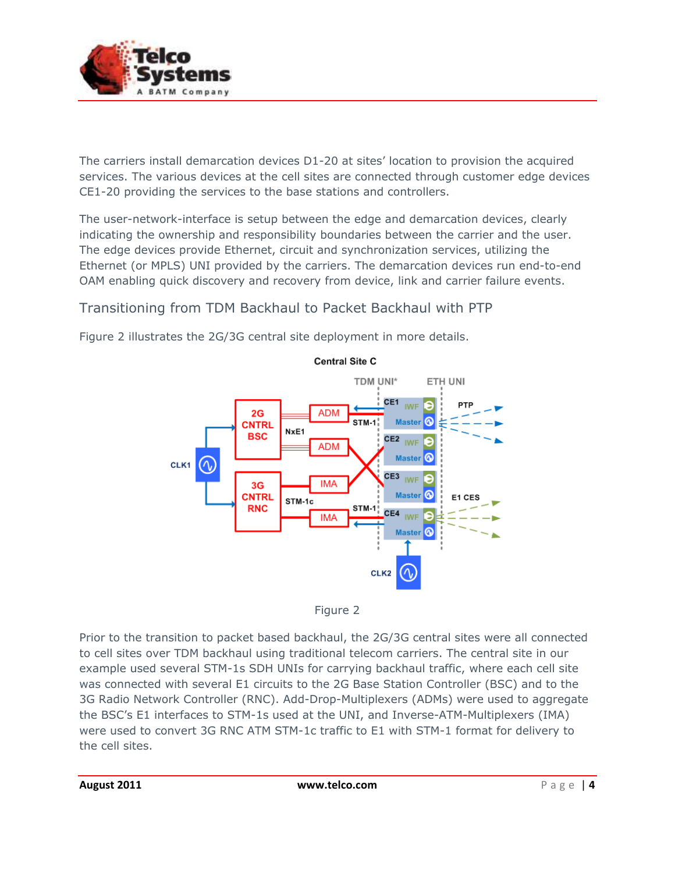

The carriers install demarcation devices D1-20 at sites' location to provision the acquired services. The various devices at the cell sites are connected through customer edge devices CE1-20 providing the services to the base stations and controllers.

The user-network-interface is setup between the edge and demarcation devices, clearly indicating the ownership and responsibility boundaries between the carrier and the user. The edge devices provide Ethernet, circuit and synchronization services, utilizing the Ethernet (or MPLS) UNI provided by the carriers. The demarcation devices run end-to-end OAM enabling quick discovery and recovery from device, link and carrier failure events.

#### Transitioning from TDM Backhaul to Packet Backhaul with PTP

Figure 2 illustrates the 2G/3G central site deployment in more details.





Prior to the transition to packet based backhaul, the 2G/3G central sites were all connected to cell sites over TDM backhaul using traditional telecom carriers. The central site in our example used several STM-1s SDH UNIs for carrying backhaul traffic, where each cell site was connected with several E1 circuits to the 2G Base Station Controller (BSC) and to the 3G Radio Network Controller (RNC). Add-Drop-Multiplexers (ADMs) were used to aggregate the BSC's E1 interfaces to STM-1s used at the UNI, and Inverse-ATM-Multiplexers (IMA) were used to convert 3G RNC ATM STM-1c traffic to E1 with STM-1 format for delivery to the cell sites.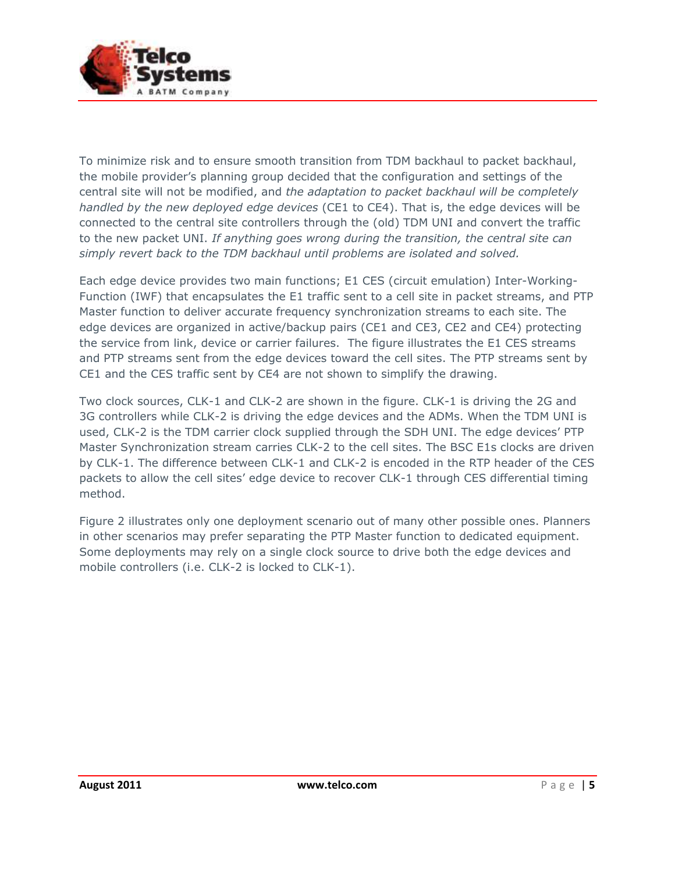

To minimize risk and to ensure smooth transition from TDM backhaul to packet backhaul, the mobile provider's planning group decided that the configuration and settings of the central site will not be modified, and *the adaptation to packet backhaul will be completely handled by the new deployed edge devices* (CE1 to CE4). That is, the edge devices will be connected to the central site controllers through the (old) TDM UNI and convert the traffic to the new packet UNI. *If anything goes wrong during the transition, the central site can simply revert back to the TDM backhaul until problems are isolated and solved.*

Each edge device provides two main functions; E1 CES (circuit emulation) Inter-Working-Function (IWF) that encapsulates the E1 traffic sent to a cell site in packet streams, and PTP Master function to deliver accurate frequency synchronization streams to each site. The edge devices are organized in active/backup pairs (CE1 and CE3, CE2 and CE4) protecting the service from link, device or carrier failures. The figure illustrates the E1 CES streams and PTP streams sent from the edge devices toward the cell sites. The PTP streams sent by CE1 and the CES traffic sent by CE4 are not shown to simplify the drawing.

Two clock sources, CLK-1 and CLK-2 are shown in the figure. CLK-1 is driving the 2G and 3G controllers while CLK-2 is driving the edge devices and the ADMs. When the TDM UNI is used, CLK-2 is the TDM carrier clock supplied through the SDH UNI. The edge devices' PTP Master Synchronization stream carries CLK-2 to the cell sites. The BSC E1s clocks are driven by CLK-1. The difference between CLK-1 and CLK-2 is encoded in the RTP header of the CES packets to allow the cell sites' edge device to recover CLK-1 through CES differential timing method.

Figure 2 illustrates only one deployment scenario out of many other possible ones. Planners in other scenarios may prefer separating the PTP Master function to dedicated equipment. Some deployments may rely on a single clock source to drive both the edge devices and mobile controllers (i.e. CLK-2 is locked to CLK-1).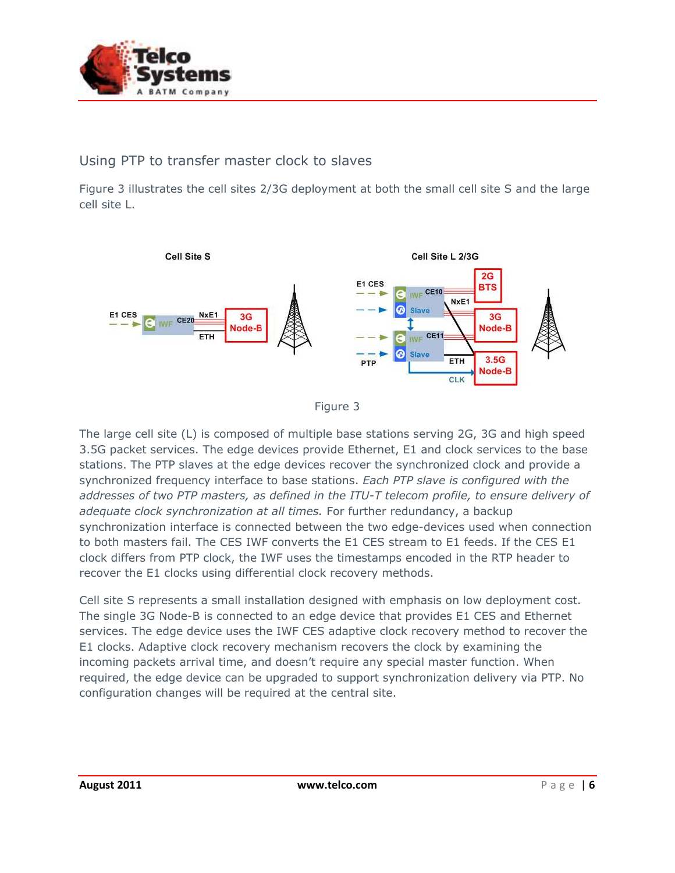

#### Using PTP to transfer master clock to slaves

Figure 3 illustrates the cell sites 2/3G deployment at both the small cell site S and the large cell site L.





The large cell site (L) is composed of multiple base stations serving 2G, 3G and high speed 3.5G packet services. The edge devices provide Ethernet, E1 and clock services to the base stations. The PTP slaves at the edge devices recover the synchronized clock and provide a synchronized frequency interface to base stations. *Each PTP slave is configured with the addresses of two PTP masters, as defined in the ITU-T telecom profile, to ensure delivery of adequate clock synchronization at all times.* For further redundancy, a backup synchronization interface is connected between the two edge-devices used when connection to both masters fail. The CES IWF converts the E1 CES stream to E1 feeds. If the CES E1 clock differs from PTP clock, the IWF uses the timestamps encoded in the RTP header to recover the E1 clocks using differential clock recovery methods.

Cell site S represents a small installation designed with emphasis on low deployment cost. The single 3G Node-B is connected to an edge device that provides E1 CES and Ethernet services. The edge device uses the IWF CES adaptive clock recovery method to recover the E1 clocks. Adaptive clock recovery mechanism recovers the clock by examining the incoming packets arrival time, and doesn't require any special master function. When required, the edge device can be upgraded to support synchronization delivery via PTP. No configuration changes will be required at the central site.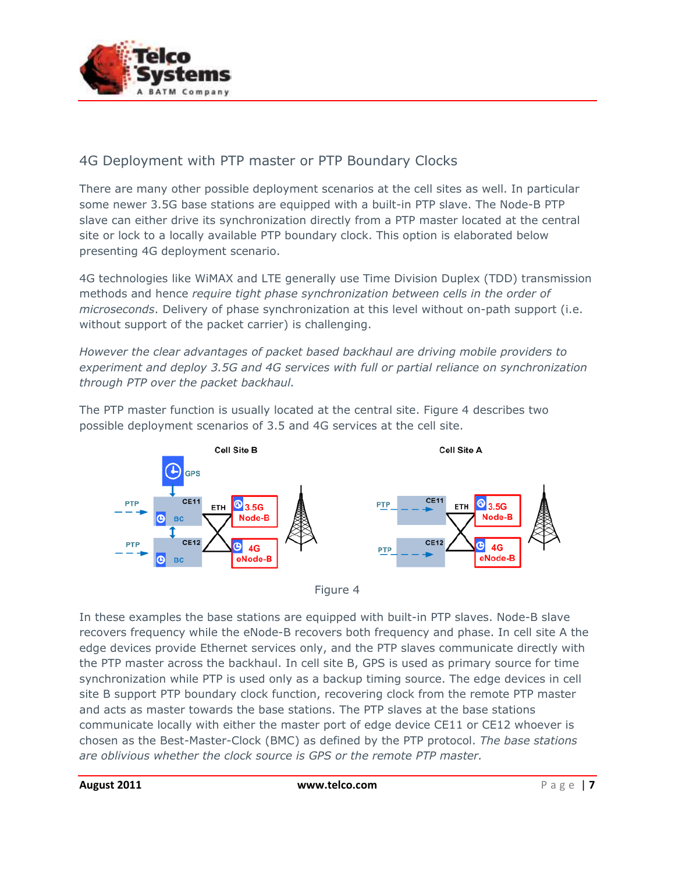

### 4G Deployment with PTP master or PTP Boundary Clocks

There are many other possible deployment scenarios at the cell sites as well. In particular some newer 3.5G base stations are equipped with a built-in PTP slave. The Node-B PTP slave can either drive its synchronization directly from a PTP master located at the central site or lock to a locally available PTP boundary clock. This option is elaborated below presenting 4G deployment scenario.

4G technologies like WiMAX and LTE generally use Time Division Duplex (TDD) transmission methods and hence *require tight phase synchronization between cells in the order of microseconds*. Delivery of phase synchronization at this level without on-path support (i.e. without support of the packet carrier) is challenging.

*However the clear advantages of packet based backhaul are driving mobile providers to experiment and deploy 3.5G and 4G services with full or partial reliance on synchronization through PTP over the packet backhaul.*

Cell Site B Cell Site A  $CF11$ CE<sub>11</sub> **8**3.5G **8**3.5G PTP ETH ETH Node-B Node-B

The PTP master function is usually located at the central site. Figure 4 describes two possible deployment scenarios of 3.5 and 4G services at the cell site.



**CE12** 

**PTP** 

**G)** 

4G

eNode-B

In these examples the base stations are equipped with built-in PTP slaves. Node-B slave recovers frequency while the eNode-B recovers both frequency and phase. In cell site A the edge devices provide Ethernet services only, and the PTP slaves communicate directly with the PTP master across the backhaul. In cell site B, GPS is used as primary source for time synchronization while PTP is used only as a backup timing source. The edge devices in cell site B support PTP boundary clock function, recovering clock from the remote PTP master and acts as master towards the base stations. The PTP slaves at the base stations communicate locally with either the master port of edge device CE11 or CE12 whoever is chosen as the Best-Master-Clock (BMC) as defined by the PTP protocol. *The base stations are oblivious whether the clock source is GPS or the remote PTP master.*

 $CE12$ 

**BC** 

ሴ

 $4G$ 

eNode-B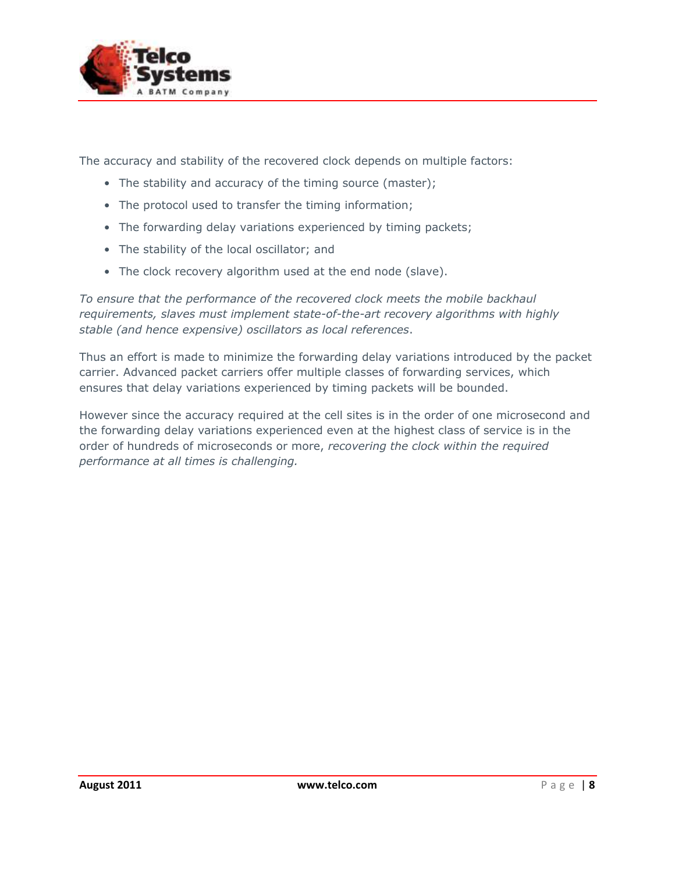

The accuracy and stability of the recovered clock depends on multiple factors:

- The stability and accuracy of the timing source (master);
- The protocol used to transfer the timing information;
- The forwarding delay variations experienced by timing packets;
- The stability of the local oscillator; and
- The clock recovery algorithm used at the end node (slave).

*To ensure that the performance of the recovered clock meets the mobile backhaul requirements, slaves must implement state-of-the-art recovery algorithms with highly stable (and hence expensive) oscillators as local references*.

Thus an effort is made to minimize the forwarding delay variations introduced by the packet carrier. Advanced packet carriers offer multiple classes of forwarding services, which ensures that delay variations experienced by timing packets will be bounded.

However since the accuracy required at the cell sites is in the order of one microsecond and the forwarding delay variations experienced even at the highest class of service is in the order of hundreds of microseconds or more, *recovering the clock within the required performance at all times is challenging.*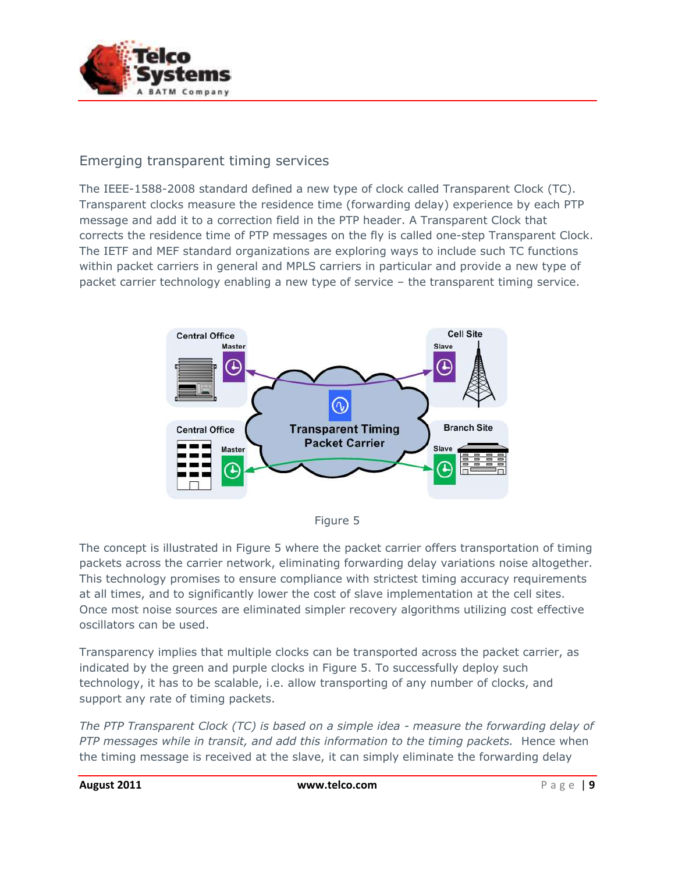

### Emerging transparent timing services

The IEEE-1588-2008 standard defined a new type of clock called Transparent Clock (TC). Transparent clocks measure the residence time (forwarding delay) experience by each PTP message and add it to a correction field in the PTP header. A Transparent Clock that corrects the residence time of PTP messages on the fly is called one-step Transparent Clock. The IETF and MEF standard organizations are exploring ways to include such TC functions within packet carriers in general and MPLS carriers in particular and provide a new type of packet carrier technology enabling a new type of service – the transparent timing service.





The concept is illustrated in Figure 5 where the packet carrier offers transportation of timing packets across the carrier network, eliminating forwarding delay variations noise altogether. This technology promises to ensure compliance with strictest timing accuracy requirements at all times, and to significantly lower the cost of slave implementation at the cell sites. Once most noise sources are eliminated simpler recovery algorithms utilizing cost effective oscillators can be used.

Transparency implies that multiple clocks can be transported across the packet carrier, as indicated by the green and purple clocks in Figure 5. To successfully deploy such technology, it has to be scalable, i.e. allow transporting of any number of clocks, and support any rate of timing packets.

*The PTP Transparent Clock (TC) is based on a simple idea - measure the forwarding delay of PTP messages while in transit, and add this information to the timing packets.* Hence when the timing message is received at the slave, it can simply eliminate the forwarding delay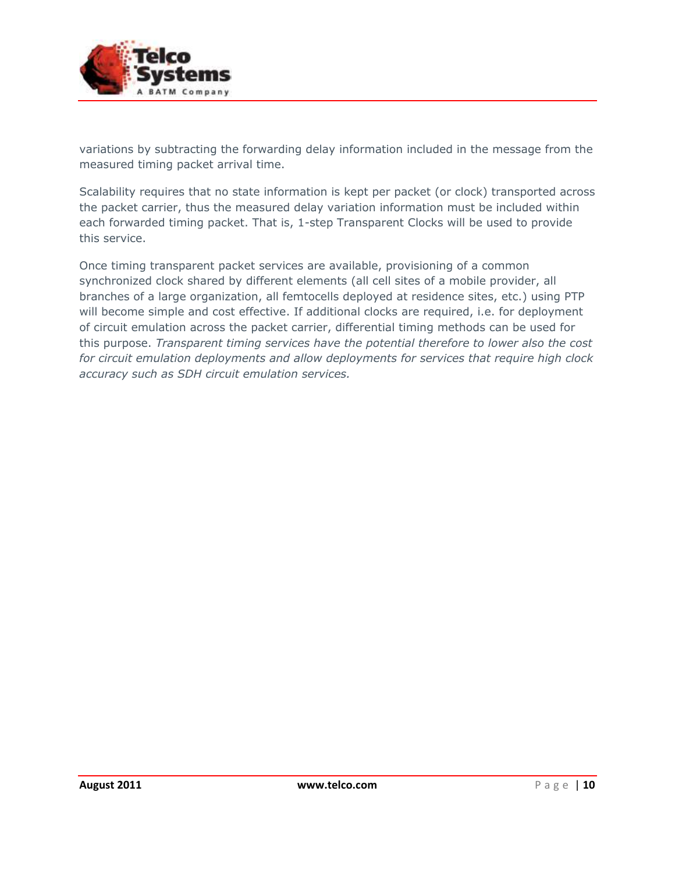

variations by subtracting the forwarding delay information included in the message from the measured timing packet arrival time.

Scalability requires that no state information is kept per packet (or clock) transported across the packet carrier, thus the measured delay variation information must be included within each forwarded timing packet. That is, 1-step Transparent Clocks will be used to provide this service.

Once timing transparent packet services are available, provisioning of a common synchronized clock shared by different elements (all cell sites of a mobile provider, all branches of a large organization, all femtocells deployed at residence sites, etc.) using PTP will become simple and cost effective. If additional clocks are required, i.e. for deployment of circuit emulation across the packet carrier, differential timing methods can be used for this purpose. *Transparent timing services have the potential therefore to lower also the cost for circuit emulation deployments and allow deployments for services that require high clock accuracy such as SDH circuit emulation services.*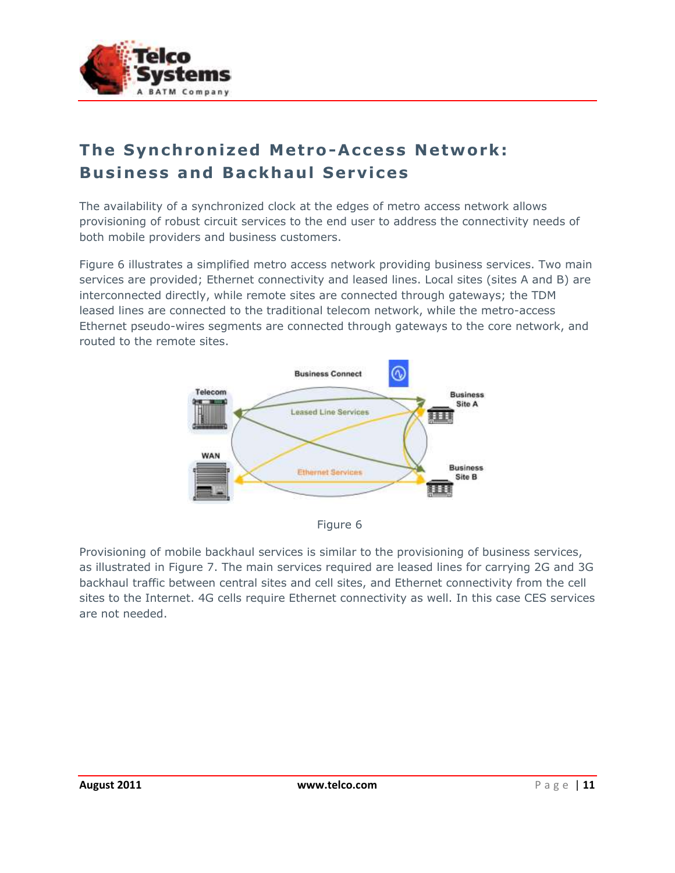

## **The Synchronized Metro-Access Network: Business and Backhaul Services**

The availability of a synchronized clock at the edges of metro access network allows provisioning of robust circuit services to the end user to address the connectivity needs of both mobile providers and business customers.

Figure 6 illustrates a simplified metro access network providing business services. Two main services are provided; Ethernet connectivity and leased lines. Local sites (sites A and B) are interconnected directly, while remote sites are connected through gateways; the TDM leased lines are connected to the traditional telecom network, while the metro-access Ethernet pseudo-wires segments are connected through gateways to the core network, and routed to the remote sites.





Provisioning of mobile backhaul services is similar to the provisioning of business services, as illustrated in Figure 7. The main services required are leased lines for carrying 2G and 3G backhaul traffic between central sites and cell sites, and Ethernet connectivity from the cell sites to the Internet. 4G cells require Ethernet connectivity as well. In this case CES services are not needed.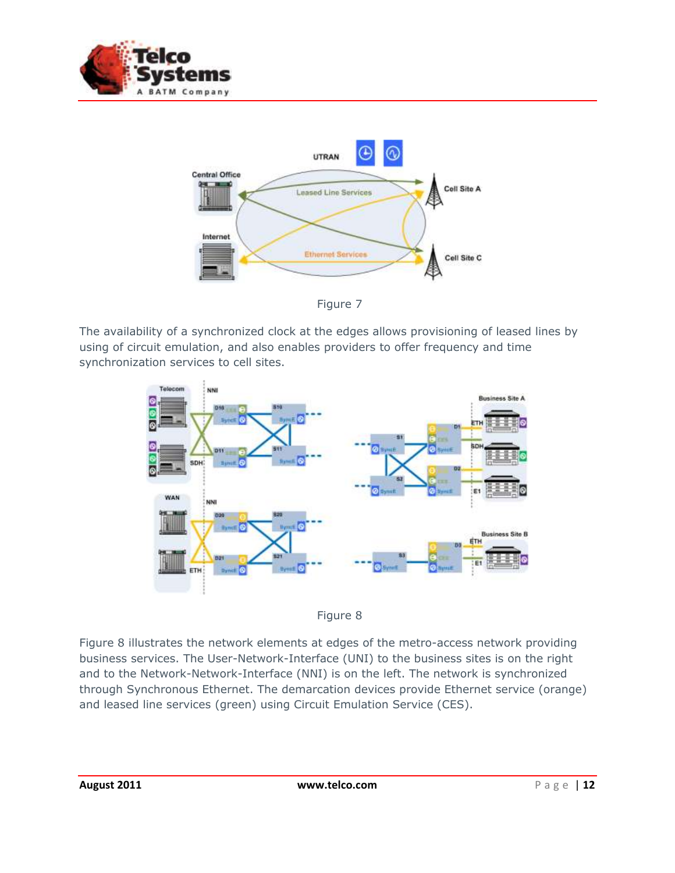



Figure 7

The availability of a synchronized clock at the edges allows provisioning of leased lines by using of circuit emulation, and also enables providers to offer frequency and time synchronization services to cell sites.





Figure 8 illustrates the network elements at edges of the metro-access network providing business services. The User-Network-Interface (UNI) to the business sites is on the right and to the Network-Network-Interface (NNI) is on the left. The network is synchronized through Synchronous Ethernet. The demarcation devices provide Ethernet service (orange) and leased line services (green) using Circuit Emulation Service (CES).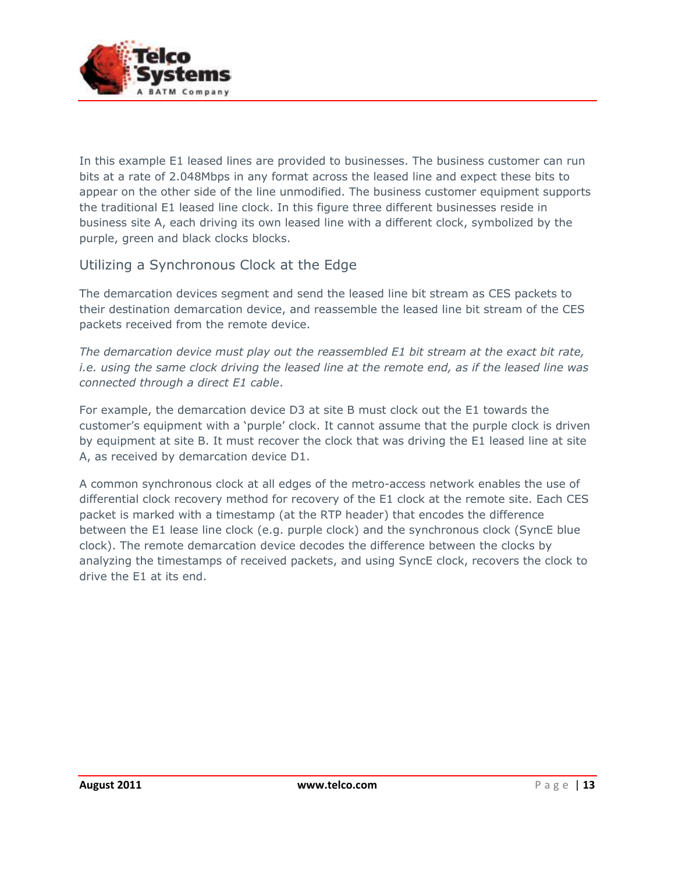

In this example E1 leased lines are provided to businesses. The business customer can run bits at a rate of 2.048Mbps in any format across the leased line and expect these bits to appear on the other side of the line unmodified. The business customer equipment supports the traditional E1 leased line clock. In this figure three different businesses reside in business site A, each driving its own leased line with a different clock, symbolized by the purple, green and black clocks blocks.

### Utilizing a Synchronous Clock at the Edge

The demarcation devices segment and send the leased line bit stream as CES packets to their destination demarcation device, and reassemble the leased line bit stream of the CES packets received from the remote device.

*The demarcation device must play out the reassembled E1 bit stream at the exact bit rate, i.e. using the same clock driving the leased line at the remote end, as if the leased line was connected through a direct E1 cable*.

For example, the demarcation device D3 at site B must clock out the E1 towards the customer's equipment with a 'purple' clock. It cannot assume that the purple clock is driven by equipment at site B. It must recover the clock that was driving the E1 leased line at site A, as received by demarcation device D1.

A common synchronous clock at all edges of the metro-access network enables the use of differential clock recovery method for recovery of the E1 clock at the remote site. Each CES packet is marked with a timestamp (at the RTP header) that encodes the difference between the E1 lease line clock (e.g. purple clock) and the synchronous clock (SyncE blue clock). The remote demarcation device decodes the difference between the clocks by analyzing the timestamps of received packets, and using SyncE clock, recovers the clock to drive the E1 at its end.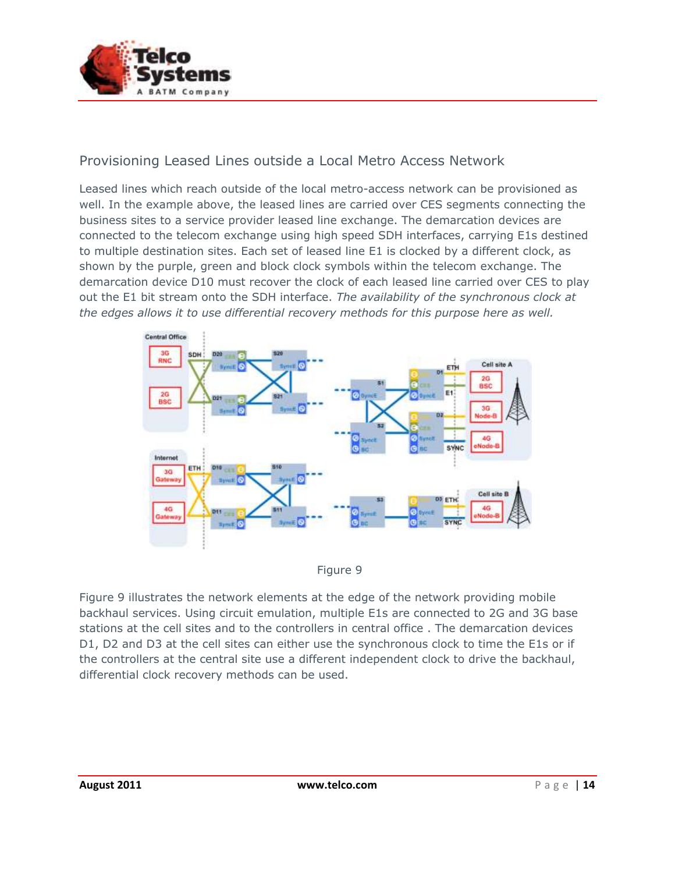

#### Provisioning Leased Lines outside a Local Metro Access Network

Leased lines which reach outside of the local metro-access network can be provisioned as well. In the example above, the leased lines are carried over CES segments connecting the business sites to a service provider leased line exchange. The demarcation devices are connected to the telecom exchange using high speed SDH interfaces, carrying E1s destined to multiple destination sites. Each set of leased line E1 is clocked by a different clock, as shown by the purple, green and block clock symbols within the telecom exchange. The demarcation device D10 must recover the clock of each leased line carried over CES to play out the E1 bit stream onto the SDH interface. *The availability of the synchronous clock at the edges allows it to use differential recovery methods for this purpose here as well.*





Figure 9 illustrates the network elements at the edge of the network providing mobile backhaul services. Using circuit emulation, multiple E1s are connected to 2G and 3G base stations at the cell sites and to the controllers in central office . The demarcation devices D1, D2 and D3 at the cell sites can either use the synchronous clock to time the E1s or if the controllers at the central site use a different independent clock to drive the backhaul, differential clock recovery methods can be used.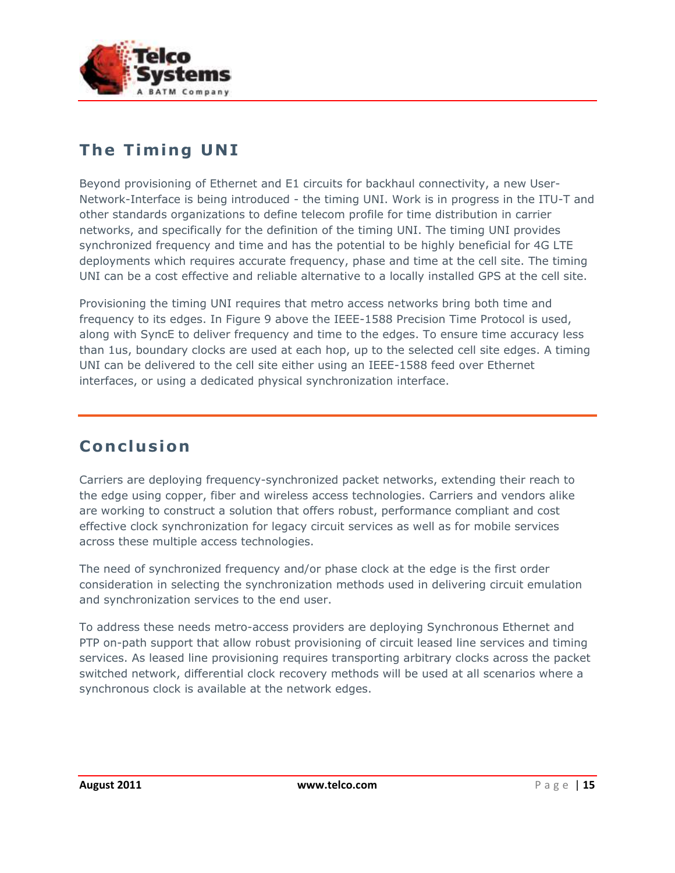

### **The Timing UNI**

Beyond provisioning of Ethernet and E1 circuits for backhaul connectivity, a new User-Network-Interface is being introduced - the timing UNI. Work is in progress in the ITU-T and other standards organizations to define telecom profile for time distribution in carrier networks, and specifically for the definition of the timing UNI. The timing UNI provides synchronized frequency and time and has the potential to be highly beneficial for 4G LTE deployments which requires accurate frequency, phase and time at the cell site. The timing UNI can be a cost effective and reliable alternative to a locally installed GPS at the cell site.

Provisioning the timing UNI requires that metro access networks bring both time and frequency to its edges. In Figure 9 above the IEEE-1588 Precision Time Protocol is used, along with SyncE to deliver frequency and time to the edges. To ensure time accuracy less than 1us, boundary clocks are used at each hop, up to the selected cell site edges. A timing UNI can be delivered to the cell site either using an IEEE-1588 feed over Ethernet interfaces, or using a dedicated physical synchronization interface.

### **Co n c lu s ion**

Carriers are deploying frequency-synchronized packet networks, extending their reach to the edge using copper, fiber and wireless access technologies. Carriers and vendors alike are working to construct a solution that offers robust, performance compliant and cost effective clock synchronization for legacy circuit services as well as for mobile services across these multiple access technologies.

The need of synchronized frequency and/or phase clock at the edge is the first order consideration in selecting the synchronization methods used in delivering circuit emulation and synchronization services to the end user.

To address these needs metro-access providers are deploying Synchronous Ethernet and PTP on-path support that allow robust provisioning of circuit leased line services and timing services. As leased line provisioning requires transporting arbitrary clocks across the packet switched network, differential clock recovery methods will be used at all scenarios where a synchronous clock is available at the network edges.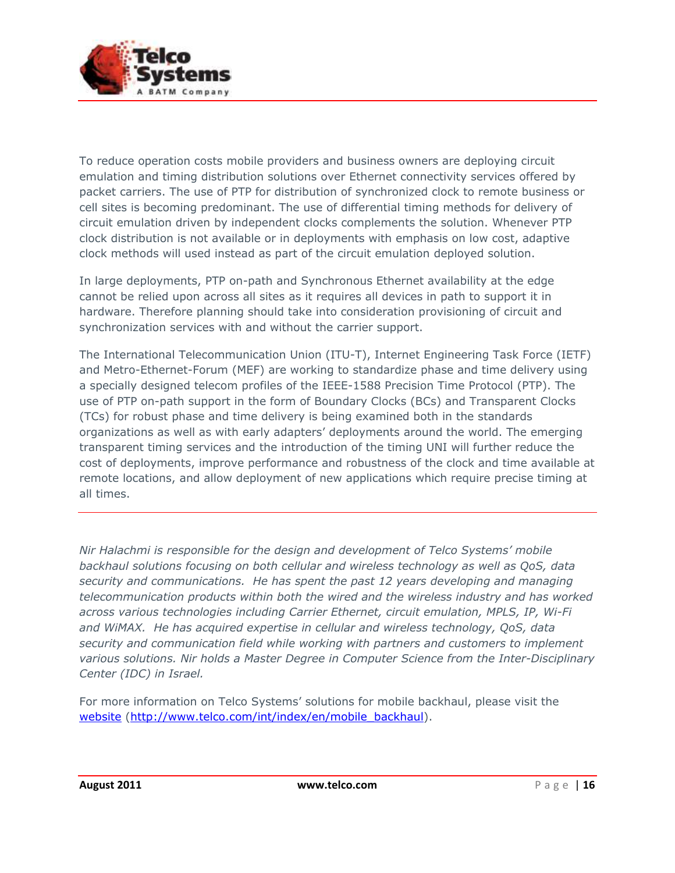

To reduce operation costs mobile providers and business owners are deploying circuit emulation and timing distribution solutions over Ethernet connectivity services offered by packet carriers. The use of PTP for distribution of synchronized clock to remote business or cell sites is becoming predominant. The use of differential timing methods for delivery of circuit emulation driven by independent clocks complements the solution. Whenever PTP clock distribution is not available or in deployments with emphasis on low cost, adaptive clock methods will used instead as part of the circuit emulation deployed solution.

In large deployments, PTP on-path and Synchronous Ethernet availability at the edge cannot be relied upon across all sites as it requires all devices in path to support it in hardware. Therefore planning should take into consideration provisioning of circuit and synchronization services with and without the carrier support.

The International Telecommunication Union (ITU-T), Internet Engineering Task Force (IETF) and Metro-Ethernet-Forum (MEF) are working to standardize phase and time delivery using a specially designed telecom profiles of the IEEE-1588 Precision Time Protocol (PTP). The use of PTP on-path support in the form of Boundary Clocks (BCs) and Transparent Clocks (TCs) for robust phase and time delivery is being examined both in the standards organizations as well as with early adapters' deployments around the world. The emerging transparent timing services and the introduction of the timing UNI will further reduce the cost of deployments, improve performance and robustness of the clock and time available at remote locations, and allow deployment of new applications which require precise timing at all times.

*Nir Halachmi is responsible for the design and development of Telco Systems' mobile backhaul solutions focusing on both cellular and wireless technology as well as QoS, data security and communications. He has spent the past 12 years developing and managing telecommunication products within both the wired and the wireless industry and has worked across various technologies including Carrier Ethernet, circuit emulation, MPLS, IP, Wi-Fi and WiMAX. He has acquired expertise in cellular and wireless technology, QoS, data security and communication field while working with partners and customers to implement various solutions. Nir holds a Master Degree in Computer Science from the Inter-Disciplinary Center (IDC) in Israel.*

For more information on Telco Systems' solutions for mobile backhaul, please visit the [website](http://www.telco.com/int/index/en/mobile_backhaul) [\(http://www.telco.com/int/index/en/mobile\\_backhaul\)](http://www.telco.com/int/index/en/mobile_backhaul).